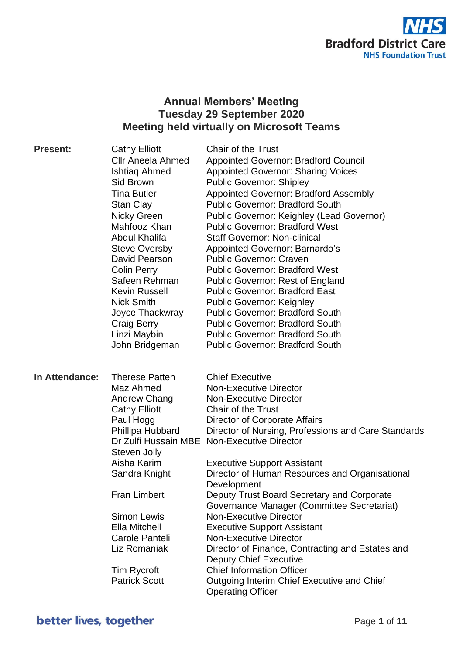

# **Annual Members' Meeting Tuesday 29 September 2020 Meeting held virtually on Microsoft Teams**

| <b>Present:</b> | <b>Cathy Elliott</b><br>Cllr Aneela Ahmed<br>Ishtiaq Ahmed<br>Sid Brown<br>Tina Butler<br><b>Stan Clay</b><br>Nicky Green<br>Mahfooz Khan<br>Abdul Khalifa<br><b>Steve Oversby</b><br>David Pearson<br><b>Colin Perry</b><br>Safeen Rehman | <b>Chair of the Trust</b><br>Appointed Governor: Bradford Council<br><b>Appointed Governor: Sharing Voices</b><br><b>Public Governor: Shipley</b><br><b>Appointed Governor: Bradford Assembly</b><br><b>Public Governor: Bradford South</b><br>Public Governor: Keighley (Lead Governor)<br><b>Public Governor: Bradford West</b><br><b>Staff Governor: Non-clinical</b><br><b>Appointed Governor: Barnardo's</b><br><b>Public Governor: Craven</b><br><b>Public Governor: Bradford West</b><br><b>Public Governor: Rest of England</b> |
|-----------------|--------------------------------------------------------------------------------------------------------------------------------------------------------------------------------------------------------------------------------------------|-----------------------------------------------------------------------------------------------------------------------------------------------------------------------------------------------------------------------------------------------------------------------------------------------------------------------------------------------------------------------------------------------------------------------------------------------------------------------------------------------------------------------------------------|
|                 | <b>Kevin Russell</b><br><b>Nick Smith</b><br>Joyce Thackwray<br>Craig Berry<br>Linzi Maybin<br>John Bridgeman                                                                                                                              | <b>Public Governor: Bradford East</b><br><b>Public Governor: Keighley</b><br><b>Public Governor: Bradford South</b><br><b>Public Governor: Bradford South</b><br><b>Public Governor: Bradford South</b><br><b>Public Governor: Bradford South</b>                                                                                                                                                                                                                                                                                       |
| In Attendance:  | <b>Therese Patten</b><br>Maz Ahmed<br>Andrew Chang<br><b>Cathy Elliott</b><br>Paul Hogg<br>Phillipa Hubbard<br>Steven Jolly                                                                                                                | <b>Chief Executive</b><br><b>Non-Executive Director</b><br><b>Non-Executive Director</b><br><b>Chair of the Trust</b><br>Director of Corporate Affairs<br>Director of Nursing, Professions and Care Standards<br>Dr Zulfi Hussain MBE Non-Executive Director                                                                                                                                                                                                                                                                            |
|                 | Aisha Karim<br>Sandra Knight<br><b>Fran Limbert</b>                                                                                                                                                                                        | <b>Executive Support Assistant</b><br>Director of Human Resources and Organisational<br>Development<br>Deputy Trust Board Secretary and Corporate                                                                                                                                                                                                                                                                                                                                                                                       |
|                 | <b>Simon Lewis</b><br>Ella Mitchell<br>Carole Panteli<br>Liz Romaniak<br><b>Tim Rycroft</b><br><b>Patrick Scott</b>                                                                                                                        | Governance Manager (Committee Secretariat)<br><b>Non-Executive Director</b><br><b>Executive Support Assistant</b><br><b>Non-Executive Director</b><br>Director of Finance, Contracting and Estates and<br><b>Deputy Chief Executive</b><br><b>Chief Information Officer</b><br>Outgoing Interim Chief Executive and Chief<br><b>Operating Officer</b>                                                                                                                                                                                   |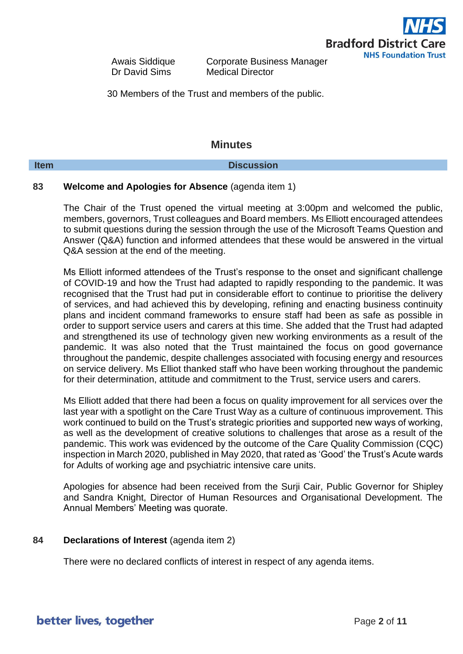

Awais Siddique Corporate Business Manager Dr David Sims Medical Director

30 Members of the Trust and members of the public.

## **Minutes**

### **Item Discussion**

## **83 Welcome and Apologies for Absence** (agenda item 1)

The Chair of the Trust opened the virtual meeting at 3:00pm and welcomed the public, members, governors, Trust colleagues and Board members. Ms Elliott encouraged attendees to submit questions during the session through the use of the Microsoft Teams Question and Answer (Q&A) function and informed attendees that these would be answered in the virtual Q&A session at the end of the meeting.

Ms Elliott informed attendees of the Trust's response to the onset and significant challenge of COVID-19 and how the Trust had adapted to rapidly responding to the pandemic. It was recognised that the Trust had put in considerable effort to continue to prioritise the delivery of services, and had achieved this by developing, refining and enacting business continuity plans and incident command frameworks to ensure staff had been as safe as possible in order to support service users and carers at this time. She added that the Trust had adapted and strengthened its use of technology given new working environments as a result of the pandemic. It was also noted that the Trust maintained the focus on good governance throughout the pandemic, despite challenges associated with focusing energy and resources on service delivery. Ms Elliot thanked staff who have been working throughout the pandemic for their determination, attitude and commitment to the Trust, service users and carers.

Ms Elliott added that there had been a focus on quality improvement for all services over the last year with a spotlight on the Care Trust Way as a culture of continuous improvement. This work continued to build on the Trust's strategic priorities and supported new ways of working, as well as the development of creative solutions to challenges that arose as a result of the pandemic. This work was evidenced by the outcome of the Care Quality Commission (CQC) inspection in March 2020, published in May 2020, that rated as 'Good' the Trust's Acute wards for Adults of working age and psychiatric intensive care units.

Apologies for absence had been received from the Surji Cair, Public Governor for Shipley and Sandra Knight, Director of Human Resources and Organisational Development. The Annual Members' Meeting was quorate.

### **84 Declarations of Interest** (agenda item 2)

There were no declared conflicts of interest in respect of any agenda items.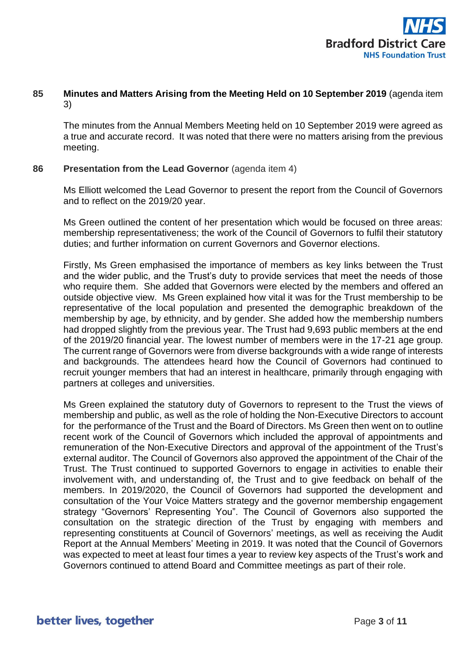

## **85 Minutes and Matters Arising from the Meeting Held on 10 September 2019** (agenda item 3)

The minutes from the Annual Members Meeting held on 10 September 2019 were agreed as a true and accurate record. It was noted that there were no matters arising from the previous meeting.

### **86 Presentation from the Lead Governor** (agenda item 4)

Ms Elliott welcomed the Lead Governor to present the report from the Council of Governors and to reflect on the 2019/20 year.

Ms Green outlined the content of her presentation which would be focused on three areas: membership representativeness; the work of the Council of Governors to fulfil their statutory duties; and further information on current Governors and Governor elections.

Firstly, Ms Green emphasised the importance of members as key links between the Trust and the wider public, and the Trust's duty to provide services that meet the needs of those who require them. She added that Governors were elected by the members and offered an outside objective view. Ms Green explained how vital it was for the Trust membership to be representative of the local population and presented the demographic breakdown of the membership by age, by ethnicity, and by gender. She added how the membership numbers had dropped slightly from the previous year. The Trust had 9,693 public members at the end of the 2019/20 financial year. The lowest number of members were in the 17-21 age group. The current range of Governors were from diverse backgrounds with a wide range of interests and backgrounds. The attendees heard how the Council of Governors had continued to recruit younger members that had an interest in healthcare, primarily through engaging with partners at colleges and universities.

Ms Green explained the statutory duty of Governors to represent to the Trust the views of membership and public, as well as the role of holding the Non-Executive Directors to account for the performance of the Trust and the Board of Directors. Ms Green then went on to outline recent work of the Council of Governors which included the approval of appointments and remuneration of the Non-Executive Directors and approval of the appointment of the Trust's external auditor. The Council of Governors also approved the appointment of the Chair of the Trust. The Trust continued to supported Governors to engage in activities to enable their involvement with, and understanding of, the Trust and to give feedback on behalf of the members. In 2019/2020, the Council of Governors had supported the development and consultation of the Your Voice Matters strategy and the governor membership engagement strategy "Governors' Representing You". The Council of Governors also supported the consultation on the strategic direction of the Trust by engaging with members and representing constituents at Council of Governors' meetings, as well as receiving the Audit Report at the Annual Members' Meeting in 2019. It was noted that the Council of Governors was expected to meet at least four times a year to review key aspects of the Trust's work and Governors continued to attend Board and Committee meetings as part of their role.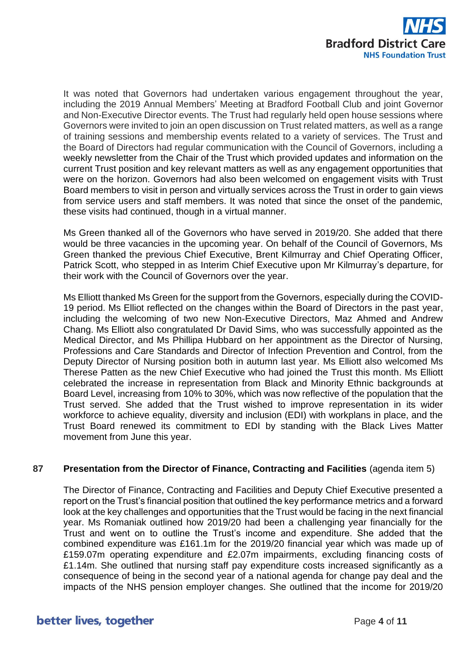

It was noted that Governors had undertaken various engagement throughout the year, including the 2019 Annual Members' Meeting at Bradford Football Club and joint Governor and Non-Executive Director events. The Trust had regularly held open house sessions where Governors were invited to join an open discussion on Trust related matters, as well as a range of training sessions and membership events related to a variety of services. The Trust and the Board of Directors had regular communication with the Council of Governors, including a weekly newsletter from the Chair of the Trust which provided updates and information on the current Trust position and key relevant matters as well as any engagement opportunities that were on the horizon. Governors had also been welcomed on engagement visits with Trust Board members to visit in person and virtually services across the Trust in order to gain views from service users and staff members. It was noted that since the onset of the pandemic, these visits had continued, though in a virtual manner.

Ms Green thanked all of the Governors who have served in 2019/20. She added that there would be three vacancies in the upcoming year. On behalf of the Council of Governors, Ms Green thanked the previous Chief Executive, Brent Kilmurray and Chief Operating Officer, Patrick Scott, who stepped in as Interim Chief Executive upon Mr Kilmurray's departure, for their work with the Council of Governors over the year.

Ms Elliott thanked Ms Green for the support from the Governors, especially during the COVID-19 period. Ms Elliot reflected on the changes within the Board of Directors in the past year, including the welcoming of two new Non-Executive Directors, Maz Ahmed and Andrew Chang. Ms Elliott also congratulated Dr David Sims, who was successfully appointed as the Medical Director, and Ms Phillipa Hubbard on her appointment as the Director of Nursing, Professions and Care Standards and Director of Infection Prevention and Control, from the Deputy Director of Nursing position both in autumn last year. Ms Elliott also welcomed Ms Therese Patten as the new Chief Executive who had joined the Trust this month. Ms Elliott celebrated the increase in representation from Black and Minority Ethnic backgrounds at Board Level, increasing from 10% to 30%, which was now reflective of the population that the Trust served. She added that the Trust wished to improve representation in its wider workforce to achieve equality, diversity and inclusion (EDI) with workplans in place, and the Trust Board renewed its commitment to EDI by standing with the Black Lives Matter movement from June this year.

## **87 Presentation from the Director of Finance, Contracting and Facilities** (agenda item 5)

The Director of Finance, Contracting and Facilities and Deputy Chief Executive presented a report on the Trust's financial position that outlined the key performance metrics and a forward look at the key challenges and opportunities that the Trust would be facing in the next financial year. Ms Romaniak outlined how 2019/20 had been a challenging year financially for the Trust and went on to outline the Trust's income and expenditure. She added that the combined expenditure was £161.1m for the 2019/20 financial year which was made up of £159.07m operating expenditure and £2.07m impairments, excluding financing costs of £1.14m. She outlined that nursing staff pay expenditure costs increased significantly as a consequence of being in the second year of a national agenda for change pay deal and the impacts of the NHS pension employer changes. She outlined that the income for 2019/20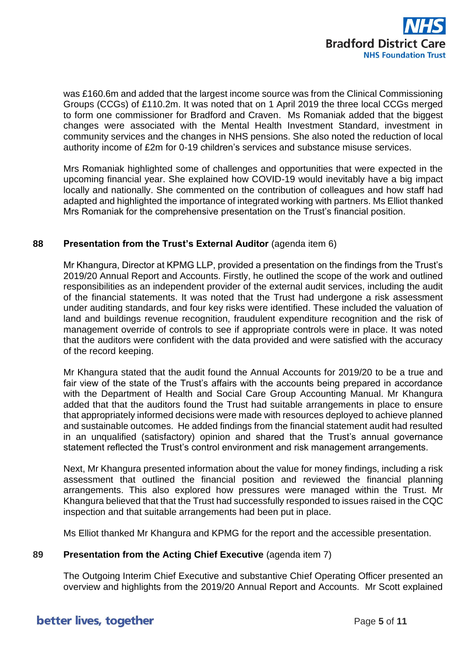

was £160.6m and added that the largest income source was from the Clinical Commissioning Groups (CCGs) of £110.2m. It was noted that on 1 April 2019 the three local CCGs merged to form one commissioner for Bradford and Craven. Ms Romaniak added that the biggest changes were associated with the Mental Health Investment Standard, investment in community services and the changes in NHS pensions. She also noted the reduction of local authority income of £2m for 0-19 children's services and substance misuse services.

Mrs Romaniak highlighted some of challenges and opportunities that were expected in the upcoming financial year. She explained how COVID-19 would inevitably have a big impact locally and nationally. She commented on the contribution of colleagues and how staff had adapted and highlighted the importance of integrated working with partners. Ms Elliot thanked Mrs Romaniak for the comprehensive presentation on the Trust's financial position.

## **88 Presentation from the Trust's External Auditor** (agenda item 6)

Mr Khangura, Director at KPMG LLP, provided a presentation on the findings from the Trust's 2019/20 Annual Report and Accounts. Firstly, he outlined the scope of the work and outlined responsibilities as an independent provider of the external audit services, including the audit of the financial statements. It was noted that the Trust had undergone a risk assessment under auditing standards, and four key risks were identified. These included the valuation of land and buildings revenue recognition, fraudulent expenditure recognition and the risk of management override of controls to see if appropriate controls were in place. It was noted that the auditors were confident with the data provided and were satisfied with the accuracy of the record keeping.

Mr Khangura stated that the audit found the Annual Accounts for 2019/20 to be a true and fair view of the state of the Trust's affairs with the accounts being prepared in accordance with the Department of Health and Social Care Group Accounting Manual. Mr Khangura added that that the auditors found the Trust had suitable arrangements in place to ensure that appropriately informed decisions were made with resources deployed to achieve planned and sustainable outcomes. He added findings from the financial statement audit had resulted in an unqualified (satisfactory) opinion and shared that the Trust's annual governance statement reflected the Trust's control environment and risk management arrangements.

Next, Mr Khangura presented information about the value for money findings, including a risk assessment that outlined the financial position and reviewed the financial planning arrangements. This also explored how pressures were managed within the Trust. Mr Khangura believed that that the Trust had successfully responded to issues raised in the CQC inspection and that suitable arrangements had been put in place.

Ms Elliot thanked Mr Khangura and KPMG for the report and the accessible presentation.

### **89 Presentation from the Acting Chief Executive** (agenda item 7)

The Outgoing Interim Chief Executive and substantive Chief Operating Officer presented an overview and highlights from the 2019/20 Annual Report and Accounts. Mr Scott explained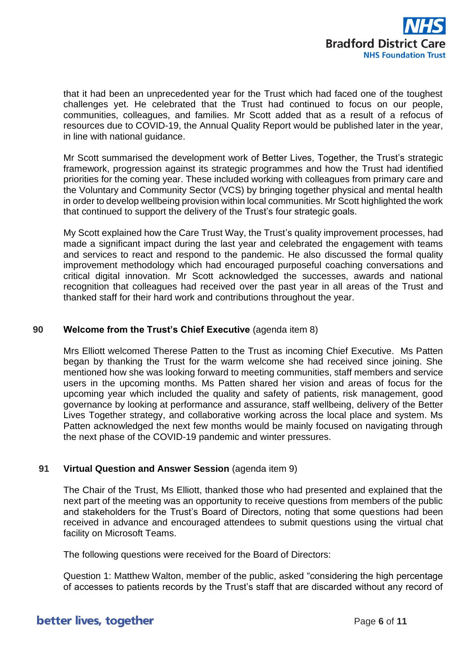

that it had been an unprecedented year for the Trust which had faced one of the toughest challenges yet. He celebrated that the Trust had continued to focus on our people, communities, colleagues, and families. Mr Scott added that as a result of a refocus of resources due to COVID-19, the Annual Quality Report would be published later in the year, in line with national guidance.

Mr Scott summarised the development work of Better Lives, Together, the Trust's strategic framework, progression against its strategic programmes and how the Trust had identified priorities for the coming year. These included working with colleagues from primary care and the Voluntary and Community Sector (VCS) by bringing together physical and mental health in order to develop wellbeing provision within local communities. Mr Scott highlighted the work that continued to support the delivery of the Trust's four strategic goals.

My Scott explained how the Care Trust Way, the Trust's quality improvement processes, had made a significant impact during the last year and celebrated the engagement with teams and services to react and respond to the pandemic. He also discussed the formal quality improvement methodology which had encouraged purposeful coaching conversations and critical digital innovation. Mr Scott acknowledged the successes, awards and national recognition that colleagues had received over the past year in all areas of the Trust and thanked staff for their hard work and contributions throughout the year.

## **90 Welcome from the Trust's Chief Executive** (agenda item 8)

Mrs Elliott welcomed Therese Patten to the Trust as incoming Chief Executive. Ms Patten began by thanking the Trust for the warm welcome she had received since joining. She mentioned how she was looking forward to meeting communities, staff members and service users in the upcoming months. Ms Patten shared her vision and areas of focus for the upcoming year which included the quality and safety of patients, risk management, good governance by looking at performance and assurance, staff wellbeing, delivery of the Better Lives Together strategy, and collaborative working across the local place and system. Ms Patten acknowledged the next few months would be mainly focused on navigating through the next phase of the COVID-19 pandemic and winter pressures.

### **91 Virtual Question and Answer Session** (agenda item 9)

The Chair of the Trust, Ms Elliott, thanked those who had presented and explained that the next part of the meeting was an opportunity to receive questions from members of the public and stakeholders for the Trust's Board of Directors, noting that some questions had been received in advance and encouraged attendees to submit questions using the virtual chat facility on Microsoft Teams.

The following questions were received for the Board of Directors:

Question 1: Matthew Walton, member of the public, asked "considering the high percentage of accesses to patients records by the Trust's staff that are discarded without any record of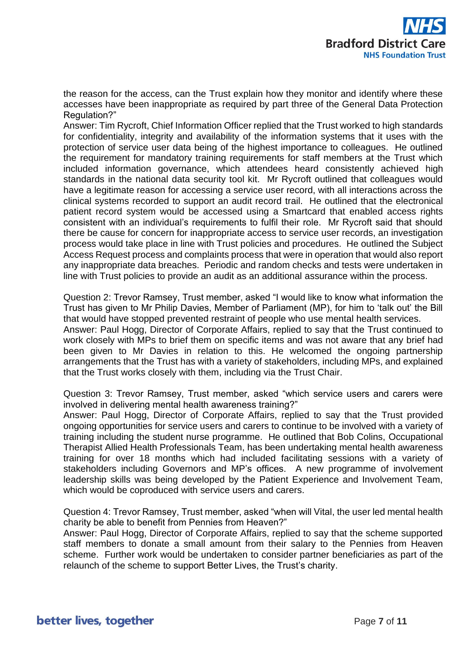the reason for the access, can the Trust explain how they monitor and identify where these accesses have been inappropriate as required by part three of the General Data Protection Regulation?"

Answer: Tim Rycroft, Chief Information Officer replied that the Trust worked to high standards for confidentiality, integrity and availability of the information systems that it uses with the protection of service user data being of the highest importance to colleagues. He outlined the requirement for mandatory training requirements for staff members at the Trust which included information governance, which attendees heard consistently achieved high standards in the national data security tool kit. Mr Rycroft outlined that colleagues would have a legitimate reason for accessing a service user record, with all interactions across the clinical systems recorded to support an audit record trail. He outlined that the electronical patient record system would be accessed using a Smartcard that enabled access rights consistent with an individual's requirements to fulfil their role. Mr Rycroft said that should there be cause for concern for inappropriate access to service user records, an investigation process would take place in line with Trust policies and procedures. He outlined the Subject Access Request process and complaints process that were in operation that would also report any inappropriate data breaches. Periodic and random checks and tests were undertaken in line with Trust policies to provide an audit as an additional assurance within the process.

Question 2: Trevor Ramsey, Trust member, asked "I would like to know what information the Trust has given to Mr Philip Davies, Member of Parliament (MP), for him to 'talk out' the Bill that would have stopped prevented restraint of people who use mental health services.

Answer: Paul Hogg, Director of Corporate Affairs, replied to say that the Trust continued to work closely with MPs to brief them on specific items and was not aware that any brief had been given to Mr Davies in relation to this. He welcomed the ongoing partnership arrangements that the Trust has with a variety of stakeholders, including MPs, and explained that the Trust works closely with them, including via the Trust Chair.

Question 3: Trevor Ramsey, Trust member, asked "which service users and carers were involved in delivering mental health awareness training?"

Answer: Paul Hogg, Director of Corporate Affairs, replied to say that the Trust provided ongoing opportunities for service users and carers to continue to be involved with a variety of training including the student nurse programme. He outlined that Bob Colins, Occupational Therapist Allied Health Professionals Team, has been undertaking mental health awareness training for over 18 months which had included facilitating sessions with a variety of stakeholders including Governors and MP's offices. A new programme of involvement leadership skills was being developed by the Patient Experience and Involvement Team, which would be coproduced with service users and carers.

Question 4: Trevor Ramsey, Trust member, asked "when will Vital, the user led mental health charity be able to benefit from Pennies from Heaven?"

Answer: Paul Hogg, Director of Corporate Affairs, replied to say that the scheme supported staff members to donate a small amount from their salary to the Pennies from Heaven scheme. Further work would be undertaken to consider partner beneficiaries as part of the relaunch of the scheme to support Better Lives, the Trust's charity.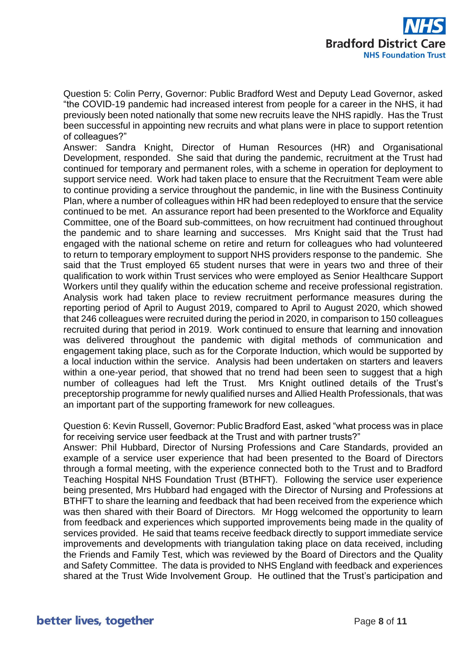

Question 5: Colin Perry, Governor: Public Bradford West and Deputy Lead Governor, asked "the COVID-19 pandemic had increased interest from people for a career in the NHS, it had previously been noted nationally that some new recruits leave the NHS rapidly. Has the Trust been successful in appointing new recruits and what plans were in place to support retention of colleagues?"

Answer: Sandra Knight, Director of Human Resources (HR) and Organisational Development, responded. She said that during the pandemic, recruitment at the Trust had continued for temporary and permanent roles, with a scheme in operation for deployment to support service need. Work had taken place to ensure that the Recruitment Team were able to continue providing a service throughout the pandemic, in line with the Business Continuity Plan, where a number of colleagues within HR had been redeployed to ensure that the service continued to be met. An assurance report had been presented to the Workforce and Equality Committee, one of the Board sub-committees, on how recruitment had continued throughout the pandemic and to share learning and successes. Mrs Knight said that the Trust had engaged with the national scheme on retire and return for colleagues who had volunteered to return to temporary employment to support NHS providers response to the pandemic. She said that the Trust employed 65 student nurses that were in years two and three of their qualification to work within Trust services who were employed as Senior Healthcare Support Workers until they qualify within the education scheme and receive professional registration. Analysis work had taken place to review recruitment performance measures during the reporting period of April to August 2019, compared to April to August 2020, which showed that 246 colleagues were recruited during the period in 2020, in comparison to 150 colleagues recruited during that period in 2019. Work continued to ensure that learning and innovation was delivered throughout the pandemic with digital methods of communication and engagement taking place, such as for the Corporate Induction, which would be supported by a local induction within the service. Analysis had been undertaken on starters and leavers within a one-year period, that showed that no trend had been seen to suggest that a high number of colleagues had left the Trust. Mrs Knight outlined details of the Trust's preceptorship programme for newly qualified nurses and Allied Health Professionals, that was an important part of the supporting framework for new colleagues.

Question 6: Kevin Russell, Governor: Public Bradford East, asked "what process was in place for receiving service user feedback at the Trust and with partner trusts?"

Answer: Phil Hubbard, Director of Nursing Professions and Care Standards, provided an example of a service user experience that had been presented to the Board of Directors through a formal meeting, with the experience connected both to the Trust and to Bradford Teaching Hospital NHS Foundation Trust (BTHFT). Following the service user experience being presented, Mrs Hubbard had engaged with the Director of Nursing and Professions at BTHFT to share the learning and feedback that had been received from the experience which was then shared with their Board of Directors. Mr Hogg welcomed the opportunity to learn from feedback and experiences which supported improvements being made in the quality of services provided. He said that teams receive feedback directly to support immediate service improvements and developments with triangulation taking place on data received, including the Friends and Family Test, which was reviewed by the Board of Directors and the Quality and Safety Committee. The data is provided to NHS England with feedback and experiences shared at the Trust Wide Involvement Group. He outlined that the Trust's participation and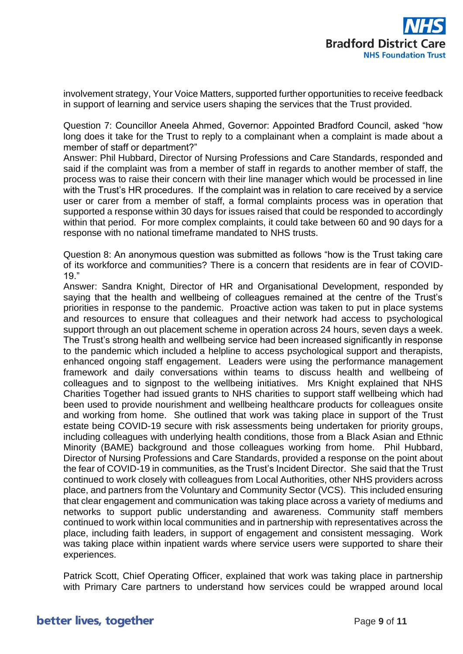involvement strategy, Your Voice Matters, supported further opportunities to receive feedback in support of learning and service users shaping the services that the Trust provided.

Question 7: Councillor Aneela Ahmed, Governor: Appointed Bradford Council, asked "how long does it take for the Trust to reply to a complainant when a complaint is made about a member of staff or department?"

Answer: Phil Hubbard, Director of Nursing Professions and Care Standards, responded and said if the complaint was from a member of staff in regards to another member of staff, the process was to raise their concern with their line manager which would be processed in line with the Trust's HR procedures. If the complaint was in relation to care received by a service user or carer from a member of staff, a formal complaints process was in operation that supported a response within 30 days for issues raised that could be responded to accordingly within that period. For more complex complaints, it could take between 60 and 90 days for a response with no national timeframe mandated to NHS trusts.

Question 8: An anonymous question was submitted as follows "how is the Trust taking care of its workforce and communities? There is a concern that residents are in fear of COVID-19."

Answer: Sandra Knight, Director of HR and Organisational Development, responded by saying that the health and wellbeing of colleagues remained at the centre of the Trust's priorities in response to the pandemic. Proactive action was taken to put in place systems and resources to ensure that colleagues and their network had access to psychological support through an out placement scheme in operation across 24 hours, seven days a week. The Trust's strong health and wellbeing service had been increased significantly in response to the pandemic which included a helpline to access psychological support and therapists, enhanced ongoing staff engagement. Leaders were using the performance management framework and daily conversations within teams to discuss health and wellbeing of colleagues and to signpost to the wellbeing initiatives. Mrs Knight explained that NHS Charities Together had issued grants to NHS charities to support staff wellbeing which had been used to provide nourishment and wellbeing healthcare products for colleagues onsite and working from home. She outlined that work was taking place in support of the Trust estate being COVID-19 secure with risk assessments being undertaken for priority groups, including colleagues with underlying health conditions, those from a Black Asian and Ethnic Minority (BAME) background and those colleagues working from home. Phil Hubbard, Director of Nursing Professions and Care Standards, provided a response on the point about the fear of COVID-19 in communities, as the Trust's Incident Director. She said that the Trust continued to work closely with colleagues from Local Authorities, other NHS providers across place, and partners from the Voluntary and Community Sector (VCS). This included ensuring that clear engagement and communication was taking place across a variety of mediums and networks to support public understanding and awareness. Community staff members continued to work within local communities and in partnership with representatives across the place, including faith leaders, in support of engagement and consistent messaging. Work was taking place within inpatient wards where service users were supported to share their experiences.

Patrick Scott, Chief Operating Officer, explained that work was taking place in partnership with Primary Care partners to understand how services could be wrapped around local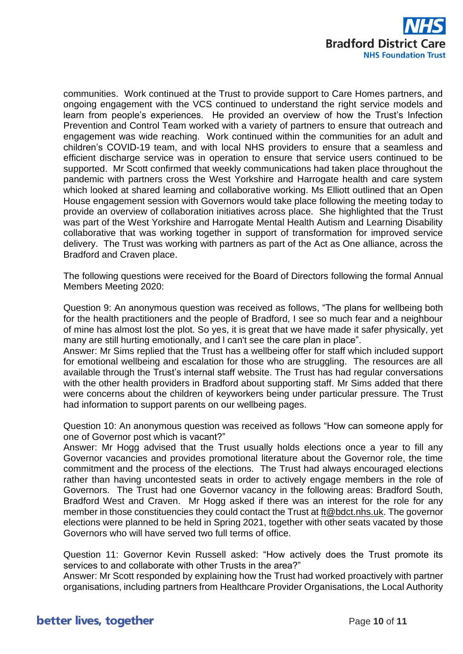

communities. Work continued at the Trust to provide support to Care Homes partners, and ongoing engagement with the VCS continued to understand the right service models and learn from people's experiences. He provided an overview of how the Trust's Infection Prevention and Control Team worked with a variety of partners to ensure that outreach and engagement was wide reaching. Work continued within the communities for an adult and children's COVID-19 team, and with local NHS providers to ensure that a seamless and efficient discharge service was in operation to ensure that service users continued to be supported. Mr Scott confirmed that weekly communications had taken place throughout the pandemic with partners cross the West Yorkshire and Harrogate health and care system which looked at shared learning and collaborative working. Ms Elliott outlined that an Open House engagement session with Governors would take place following the meeting today to provide an overview of collaboration initiatives across place. She highlighted that the Trust was part of the West Yorkshire and Harrogate Mental Health Autism and Learning Disability collaborative that was working together in support of transformation for improved service delivery. The Trust was working with partners as part of the Act as One alliance, across the Bradford and Craven place.

The following questions were received for the Board of Directors following the formal Annual Members Meeting 2020:

Question 9: An anonymous question was received as follows, "The plans for wellbeing both for the health practitioners and the people of Bradford, I see so much fear and a neighbour of mine has almost lost the plot. So yes, it is great that we have made it safer physically, yet many are still hurting emotionally, and l can't see the care plan in place".

Answer: Mr Sims replied that the Trust has a wellbeing offer for staff which included support for emotional wellbeing and escalation for those who are struggling. The resources are all available through the Trust's internal staff website. The Trust has had regular conversations with the other health providers in Bradford about supporting staff. Mr Sims added that there were concerns about the children of keyworkers being under particular pressure. The Trust had information to support parents on our wellbeing pages.

Question 10: An anonymous question was received as follows "How can someone apply for one of Governor post which is vacant?"

Answer: Mr Hogg advised that the Trust usually holds elections once a year to fill any Governor vacancies and provides promotional literature about the Governor role, the time commitment and the process of the elections. The Trust had always encouraged elections rather than having uncontested seats in order to actively engage members in the role of Governors. The Trust had one Governor vacancy in the following areas: Bradford South, Bradford West and Craven. Mr Hogg asked if there was an interest for the role for any member in those constituencies they could contact the Trust at [ft@bdct.nhs.uk.](mailto:ft@bdct.nhs.uk) The governor elections were planned to be held in Spring 2021, together with other seats vacated by those Governors who will have served two full terms of office.

Question 11: Governor Kevin Russell asked: "How actively does the Trust promote its services to and collaborate with other Trusts in the area?"

Answer: Mr Scott responded by explaining how the Trust had worked proactively with partner organisations, including partners from Healthcare Provider Organisations, the Local Authority